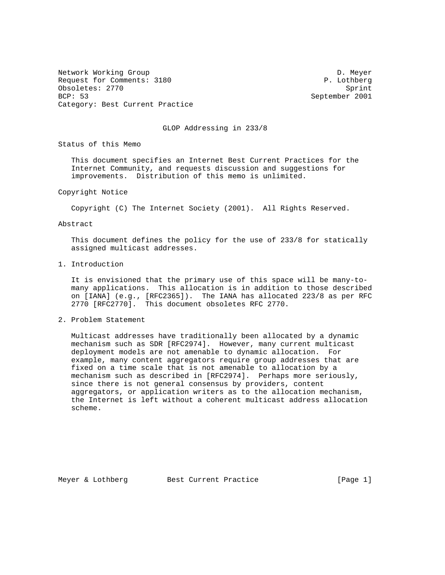Network Working Group Development of the United States of D. Meyer Request for Comments: 3180 P. Lothberg Obsoletes: 2770 Sprint BCP: 53 September 2001 Category: Best Current Practice

GLOP Addressing in 233/8

Status of this Memo

 This document specifies an Internet Best Current Practices for the Internet Community, and requests discussion and suggestions for improvements. Distribution of this memo is unlimited.

Copyright Notice

Copyright (C) The Internet Society (2001). All Rights Reserved.

Abstract

 This document defines the policy for the use of 233/8 for statically assigned multicast addresses.

1. Introduction

 It is envisioned that the primary use of this space will be many-to many applications. This allocation is in addition to those described on [IANA] (e.g., [RFC2365]). The IANA has allocated 223/8 as per RFC 2770 [RFC2770]. This document obsoletes RFC 2770.

2. Problem Statement

 Multicast addresses have traditionally been allocated by a dynamic mechanism such as SDR [RFC2974]. However, many current multicast deployment models are not amenable to dynamic allocation. For example, many content aggregators require group addresses that are fixed on a time scale that is not amenable to allocation by a mechanism such as described in [RFC2974]. Perhaps more seriously, since there is not general consensus by providers, content aggregators, or application writers as to the allocation mechanism, the Internet is left without a coherent multicast address allocation scheme.

Meyer & Lothberg Best Current Practice [Page 1]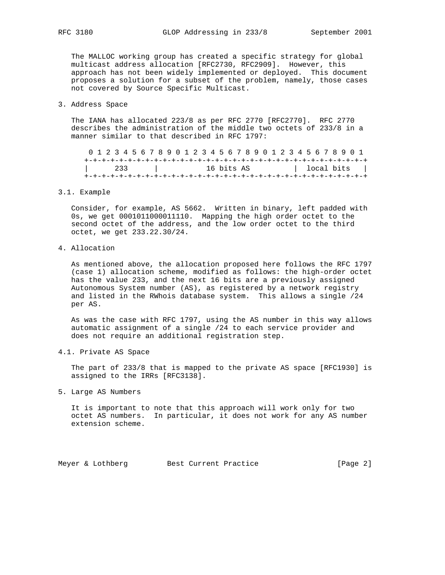The MALLOC working group has created a specific strategy for global multicast address allocation [RFC2730, RFC2909]. However, this approach has not been widely implemented or deployed. This document proposes a solution for a subset of the problem, namely, those cases not covered by Source Specific Multicast.

## 3. Address Space

 The IANA has allocated 223/8 as per RFC 2770 [RFC2770]. RFC 2770 describes the administration of the middle two octets of 233/8 in a manner similar to that described in RFC 1797:

 0 1 2 3 4 5 6 7 8 9 0 1 2 3 4 5 6 7 8 9 0 1 2 3 4 5 6 7 8 9 0 1 +-+-+-+-+-+-+-+-+-+-+-+-+-+-+-+-+-+-+-+-+-+-+-+-+-+-+-+-+-+-+-+-+ | 233 | 16 bits AS | 10 | 100 | 100 | 100 | 100 | 100 | 100 | 100 | 100 | 100 | 100 | 100 | 100 | 100 | 100 | 100 | 100 | 100 | 100 | 100 | 100 | 100 | 100 | 100 | 100 | 100 | 100 | 100 | 100 | 100 | 100 | 100 | 100 | 100 +-+-+-+-+-+-+-+-+-+-+-+-+-+-+-+-+-+-+-+-+-+-+-+-+-+-+-+-+-+-+-+-+

### 3.1. Example

 Consider, for example, AS 5662. Written in binary, left padded with 0s, we get 0001011000011110. Mapping the high order octet to the second octet of the address, and the low order octet to the third octet, we get 233.22.30/24.

## 4. Allocation

 As mentioned above, the allocation proposed here follows the RFC 1797 (case 1) allocation scheme, modified as follows: the high-order octet has the value 233, and the next 16 bits are a previously assigned Autonomous System number (AS), as registered by a network registry and listed in the RWhois database system. This allows a single /24 per AS.

 As was the case with RFC 1797, using the AS number in this way allows automatic assignment of a single /24 to each service provider and does not require an additional registration step.

4.1. Private AS Space

 The part of 233/8 that is mapped to the private AS space [RFC1930] is assigned to the IRRs [RFC3138].

5. Large AS Numbers

 It is important to note that this approach will work only for two octet AS numbers. In particular, it does not work for any AS number extension scheme.

Meyer & Lothberg Best Current Practice [Page 2]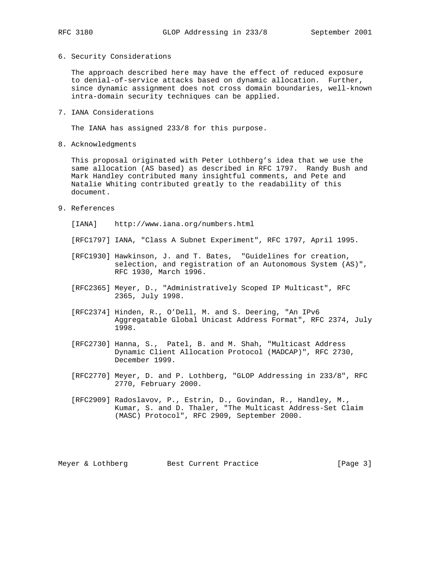### 6. Security Considerations

 The approach described here may have the effect of reduced exposure to denial-of-service attacks based on dynamic allocation. Further, since dynamic assignment does not cross domain boundaries, well-known intra-domain security techniques can be applied.

7. IANA Considerations

The IANA has assigned 233/8 for this purpose.

8. Acknowledgments

 This proposal originated with Peter Lothberg's idea that we use the same allocation (AS based) as described in RFC 1797. Randy Bush and Mark Handley contributed many insightful comments, and Pete and Natalie Whiting contributed greatly to the readability of this document.

9. References

[IANA] http://www.iana.org/numbers.html

[RFC1797] IANA, "Class A Subnet Experiment", RFC 1797, April 1995.

- [RFC1930] Hawkinson, J. and T. Bates, "Guidelines for creation, selection, and registration of an Autonomous System (AS)", RFC 1930, March 1996.
- [RFC2365] Meyer, D., "Administratively Scoped IP Multicast", RFC 2365, July 1998.
- [RFC2374] Hinden, R., O'Dell, M. and S. Deering, "An IPv6 Aggregatable Global Unicast Address Format", RFC 2374, July 1998.
- [RFC2730] Hanna, S., Patel, B. and M. Shah, "Multicast Address Dynamic Client Allocation Protocol (MADCAP)", RFC 2730, December 1999.
- [RFC2770] Meyer, D. and P. Lothberg, "GLOP Addressing in 233/8", RFC 2770, February 2000.
- [RFC2909] Radoslavov, P., Estrin, D., Govindan, R., Handley, M., Kumar, S. and D. Thaler, "The Multicast Address-Set Claim (MASC) Protocol", RFC 2909, September 2000.

Meyer & Lothberg Best Current Practice [Page 3]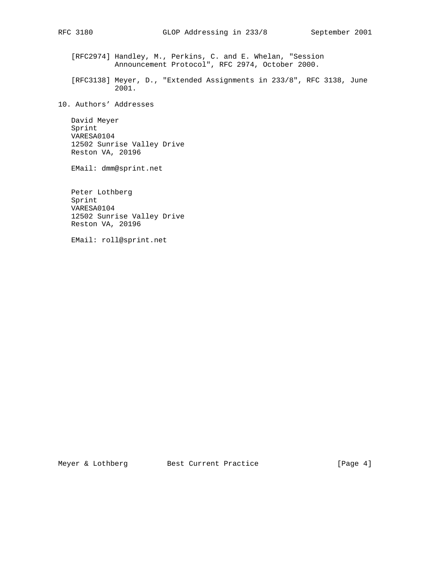[RFC2974] Handley, M., Perkins, C. and E. Whelan, "Session Announcement Protocol", RFC 2974, October 2000.

 [RFC3138] Meyer, D., "Extended Assignments in 233/8", RFC 3138, June 2001.

10. Authors' Addresses

 David Meyer Sprint VARESA0104 12502 Sunrise Valley Drive Reston VA, 20196

EMail: dmm@sprint.net

 Peter Lothberg Sprint VARESA0104 12502 Sunrise Valley Drive Reston VA, 20196

EMail: roll@sprint.net

Meyer & Lothberg Best Current Practice [Page 4]